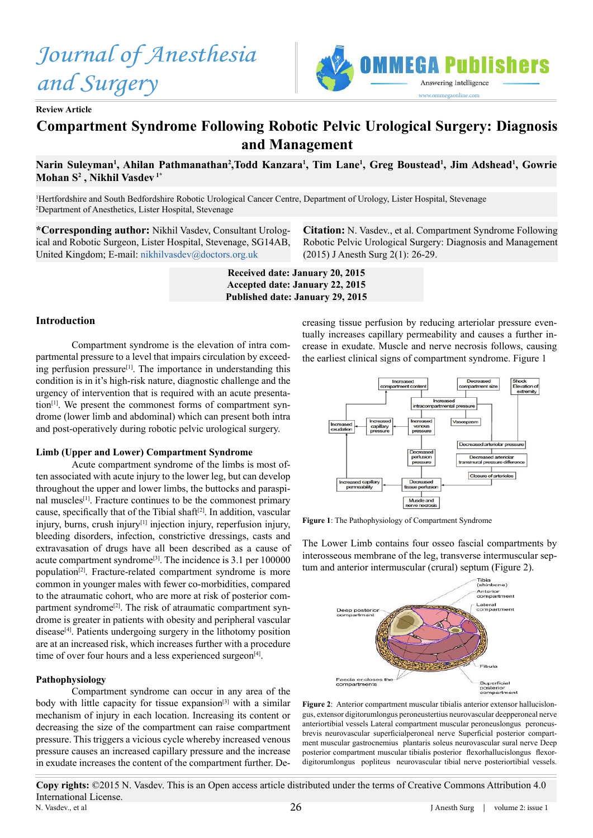*Journal of Anesthesia and Surgery*



**Review Article**

# **Compartment Syndrome Following Robotic Pelvic Urological Surgery: Diagnosis and Management**

# Narin Suleyman<sup>1</sup>, Ahilan Pathmanathan<sup>2</sup>,Todd Kanzara<sup>1</sup>, Tim Lane<sup>1</sup>, Greg Boustead<sup>1</sup>, Jim Adshead<sup>1</sup>, Gowrie **Mohan S2 , Nikhil Vasdev 1\***

1 Hertfordshire and South Bedfordshire Robotic Urological Cancer Centre, Department of Urology, Lister Hospital, Stevenage 2 Department of Anesthetics, Lister Hospital, Stevenage

**\*Corresponding author:** Nikhil Vasdev, Consultant Urological and Robotic Surgeon, Lister Hospital, Stevenage, SG14AB, United Kingdom; E-mail: [nikhilvasdev@doctors.org.uk](mailto:nikhilvasdev%40doctors.org.uk?subject=)

**Citation:** N. Vasdev., et al. Compartment Syndrome Following Robotic Pelvic Urological Surgery: Diagnosis and Management (2015) J Anesth Surg 2(1): 26-29.

**Received date: January 20, 2015 Accepted date: January 22, 2015 Published date: January 29, 2015**

#### **Introduction**

Compartment syndrome is the elevation of intra compartmental pressure to a level that impairs circulation by exceeding perfusion pressure[1]. The importance in understanding this condition is in it's high-risk nature, diagnostic challenge and the urgency of intervention that is required with an acute presentation<sup>[1]</sup>. We present the commonest forms of compartment syndrome (lower limb and abdominal) which can present both intra and post-operatively during robotic pelvic urological surgery.

### **Limb (Upper and Lower) Compartment Syndrome**

Acute compartment syndrome of the limbs is most often associated with acute injury to the lower leg, but can develop throughout the upper and lower limbs, the buttocks and paraspinal muscles<sup>[1]</sup>. Fracture continues to be the commonest primary cause, specifically that of the Tibial shaft<sup>[2]</sup>. In addition, vascular injury, burns, crush injury<sup>[1]</sup> injection injury, reperfusion injury, bleeding disorders, infection, constrictive dressings, casts and extravasation of drugs have all been described as a cause of acute compartment syndrome<sup>[3]</sup>. The incidence is 3.1 per 100000 population[2]. Fracture-related compartment syndrome is more common in younger males with fewer co-morbidities, compared to the atraumatic cohort, who are more at risk of posterior compartment syndrome<sup>[2]</sup>. The risk of atraumatic compartment syndrome is greater in patients with obesity and peripheral vascular disease<sup>[4]</sup>. Patients undergoing surgery in the lithotomy position are at an increased risk, which increases further with a procedure time of over four hours and a less experienced surgeon $^{[4]}$ .

#### **Pathophysiology**

Compartment syndrome can occur in any area of the body with little capacity for tissue expansion<sup>[3]</sup> with a similar mechanism of injury in each location. Increasing its content or decreasing the size of the compartment can raise compartment pressure. This triggers a vicious cycle whereby increased venous pressure causes an increased capillary pressure and the increase in exudate increases the content of the compartment further. Decreasing tissue perfusion by reducing arteriolar pressure eventually increases capillary permeability and causes a further increase in exudate. Muscle and nerve necrosis follows, causing the earliest clinical signs of compartment syndrome. Figure 1



**Figure 1**: The Pathophysiology of Compartment Syndrome

The Lower Limb contains four osseo fascial compartments by interosseous membrane of the leg, transverse intermuscular septum and anterior intermuscular (crural) septum (Figure 2).



**Figure 2**: Anterior compartment muscular tibialis anterior extensor hallucislongus, extensor digitorumlongus peroneustertius neurovascular deepperoneal nerve anteriortibial vessels Lateral compartment muscular peroneuslongus peroneusbrevis neurovascular superficialperoneal nerve Superficial posterior compartment muscular gastrocnemius plantaris soleus neurovascular sural nerve Deep posterior compartment muscular tibialis posterior flexorhallucislongus flexordigitorumlongus popliteus neurovascular tibial nerve posteriortibial vessels.

**Copy rights:** ©2015 N. Vasdev. This is an Open access article distributed under the terms of Creative Commons Attribution 4.0 International License. N. Vasdev., et al 26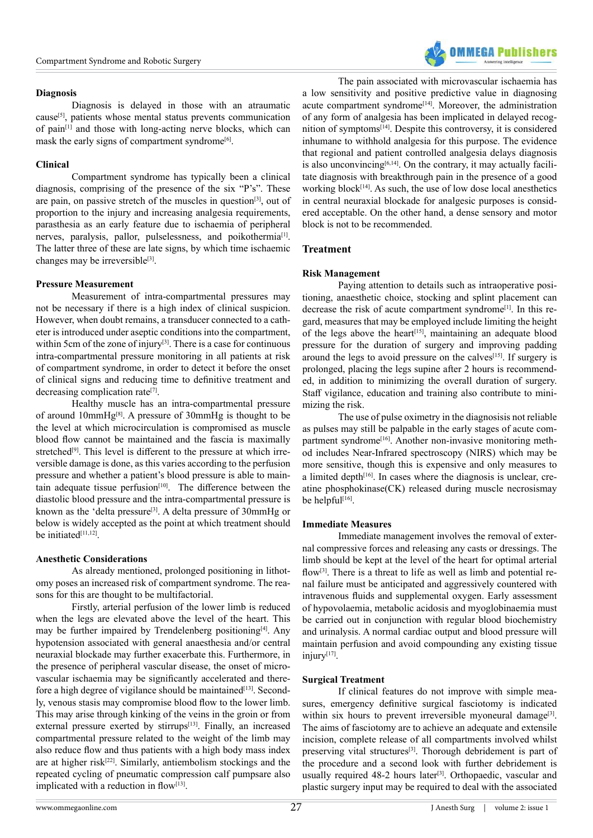#### **Diagnosis**

Diagnosis is delayed in those with an atraumatic cause[5], patients whose mental status prevents communication of pain[1] and those with long-acting nerve blocks, which can mask the early signs of compartment syndrome<sup>[6]</sup>.

## **Clinical**

Compartment syndrome has typically been a clinical diagnosis, comprising of the presence of the six "P's". These are pain, on passive stretch of the muscles in question[3], out of proportion to the injury and increasing analgesia requirements, parasthesia as an early feature due to ischaemia of peripheral nerves, paralysis, pallor, pulselessness, and poikothermia<sup>[1]</sup>. The latter three of these are late signs, by which time ischaemic changes may be irreversible<sup>[3]</sup>.

## **Pressure Measurement**

Measurement of intra-compartmental pressures may not be necessary if there is a high index of clinical suspicion. However, when doubt remains, a transducer connected to a catheter is introduced under aseptic conditions into the compartment, within 5cm of the zone of injury<sup>[3]</sup>. There is a case for continuous intra-compartmental pressure monitoring in all patients at risk of compartment syndrome, in order to detect it before the onset of clinical signs and reducing time to definitive treatment and decreasing complication rate<sup>[7]</sup>.

Healthy muscle has an intra-compartmental pressure of around 10mmHg[8]. A pressure of 30mmHg is thought to be the level at which microcirculation is compromised as muscle blood flow cannot be maintained and the fascia is maximally stretched<sup>[9]</sup>. This level is different to the pressure at which irreversible damage is done, as this varies according to the perfusion pressure and whether a patient's blood pressure is able to maintain adequate tissue perfusion<sup>[10]</sup>. The difference between the diastolic blood pressure and the intra-compartmental pressure is known as the 'delta pressure<sup>[3]</sup>. A delta pressure of 30mmHg or below is widely accepted as the point at which treatment should be initiated<sup>[11,12]</sup>.

# **Anesthetic Considerations**

As already mentioned, prolonged positioning in lithotomy poses an increased risk of compartment syndrome. The reasons for this are thought to be multifactorial.

Firstly, arterial perfusion of the lower limb is reduced when the legs are elevated above the level of the heart. This may be further impaired by Trendelenberg positioning[4]. Any hypotension associated with general anaesthesia and/or central neuraxial blockade may further exacerbate this. Furthermore, in the presence of peripheral vascular disease, the onset of microvascular ischaemia may be significantly accelerated and therefore a high degree of vigilance should be maintained<sup>[13]</sup>. Secondly, venous stasis may compromise blood flow to the lower limb. This may arise through kinking of the veins in the groin or from external pressure exerted by stirrups<sup>[13]</sup>. Finally, an increased compartmental pressure related to the weight of the limb may also reduce flow and thus patients with a high body mass index are at higher risk[22]. Similarly, antiembolism stockings and the repeated cycling of pneumatic compression calf pumpsare also implicated with a reduction in flow<sup>[13]</sup>.

The pain associated with microvascular ischaemia has a low sensitivity and positive predictive value in diagnosing acute compartment syndrome<sup>[14]</sup>. Moreover, the administration of any form of analgesia has been implicated in delayed recognition of symptoms[14]. Despite this controversy, it is considered inhumane to withhold analgesia for this purpose. The evidence that regional and patient controlled analgesia delays diagnosis is also unconvincing<sup>[6,14]</sup>. On the contrary, it may actually facilitate diagnosis with breakthrough pain in the presence of a good working block<sup>[14]</sup>. As such, the use of low dose local anesthetics in central neuraxial blockade for analgesic purposes is considered acceptable. On the other hand, a dense sensory and motor block is not to be recommended.

# **Treatment**

## **Risk Management**

Paying attention to details such as intraoperative positioning, anaesthetic choice, stocking and splint placement can decrease the risk of acute compartment syndrome<sup>[1]</sup>. In this regard, measures that may be employed include limiting the height of the legs above the heart<sup>[15]</sup>, maintaining an adequate blood pressure for the duration of surgery and improving padding around the legs to avoid pressure on the calves<sup>[15]</sup>. If surgery is prolonged, placing the legs supine after 2 hours is recommended, in addition to minimizing the overall duration of surgery. Staff vigilance, education and training also contribute to minimizing the risk.

The use of pulse oximetry in the diagnosisis not reliable as pulses may still be palpable in the early stages of acute compartment syndrome<sup>[16]</sup>. Another non-invasive monitoring method includes Near-Infrared spectroscopy (NIRS) which may be more sensitive, though this is expensive and only measures to a limited depth<sup>[16]</sup>. In cases where the diagnosis is unclear, creatine phosphokinase(CK) released during muscle necrosismay be helpful $[16]$ .

#### **Immediate Measures**

Immediate management involves the removal of external compressive forces and releasing any casts or dressings. The limb should be kept at the level of the heart for optimal arterial flow<sup>[3]</sup>. There is a threat to life as well as limb and potential renal failure must be anticipated and aggressively countered with intravenous fluids and supplemental oxygen. Early assessment of hypovolaemia, metabolic acidosis and myoglobinaemia must be carried out in conjunction with regular blood biochemistry and urinalysis. A normal cardiac output and blood pressure will maintain perfusion and avoid compounding any existing tissue injury[17].

#### **Surgical Treatment**

If clinical features do not improve with simple measures, emergency definitive surgical fasciotomy is indicated within six hours to prevent irreversible myoneural damage<sup>[3]</sup>. The aims of fasciotomy are to achieve an adequate and extensile incision, complete release of all compartments involved whilst preserving vital structures[3]. Thorough debridement is part of the procedure and a second look with further debridement is usually required 48-2 hours later<sup>[3]</sup>. Orthopaedic, vascular and plastic surgery input may be required to deal with the associated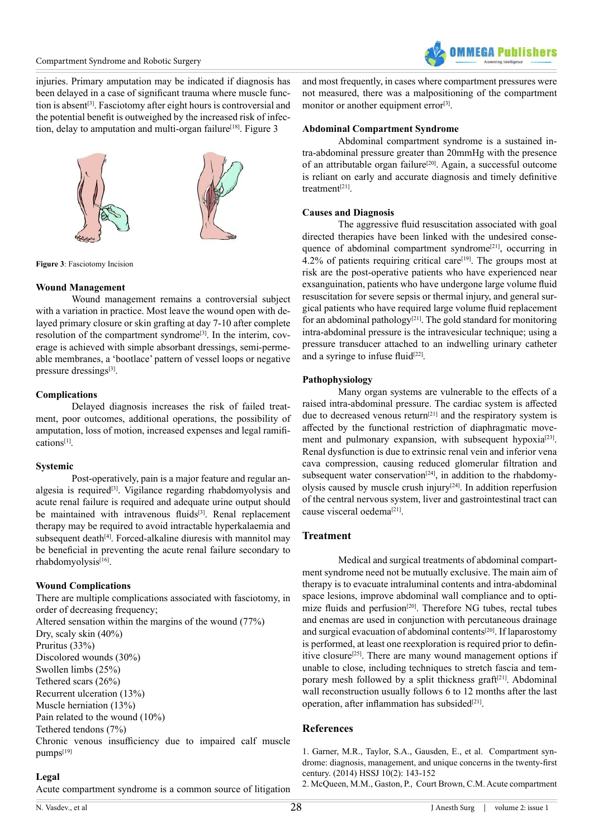injuries. Primary amputation may be indicated if diagnosis has been delayed in a case of significant trauma where muscle function is absent<sup>[3]</sup>. Fasciotomy after eight hours is controversial and the potential benefit is outweighed by the increased risk of infection, delay to amputation and multi-organ failure<sup>[18]</sup>. Figure 3



**Figure 3**: Fasciotomy Incision

## **Wound Management**

Wound management remains a controversial subject with a variation in practice. Most leave the wound open with delayed primary closure or skin grafting at day 7-10 after complete resolution of the compartment syndrome[3]. In the interim, coverage is achieved with simple absorbant dressings, semi-permeable membranes, a 'bootlace' pattern of vessel loops or negative pressure dressings<sup>[3]</sup>.

# **Complications**

Delayed diagnosis increases the risk of failed treatment, poor outcomes, additional operations, the possibility of amputation, loss of motion, increased expenses and legal ramifications[1].

#### **Systemic**

Post-operatively, pain is a major feature and regular analgesia is required<sup>[3]</sup>. Vigilance regarding rhabdomyolysis and acute renal failure is required and adequate urine output should be maintained with intravenous fluids<sup>[3]</sup>. Renal replacement therapy may be required to avoid intractable hyperkalaemia and subsequent death<sup>[4]</sup>. Forced-alkaline diuresis with mannitol may be beneficial in preventing the acute renal failure secondary to rhabdomyolysis[16].

# **Wound Complications**

There are multiple complications associated with fasciotomy, in order of decreasing frequency; Altered sensation within the margins of the wound (77%) Dry, scaly skin (40%) Pruritus (33%) Discolored wounds (30%) Swollen limbs (25%) Tethered scars (26%)

Recurrent ulceration (13%) Muscle herniation (13%)

Pain related to the wound (10%)

Tethered tendons (7%)

Chronic venous insufficiency due to impaired calf muscle pumps[19]

# **Legal**

Acute compartment syndrome is a common source of litigation

and most frequently, in cases where compartment pressures were not measured, there was a malpositioning of the compartment monitor or another equipment error<sup>[3]</sup>.

## **Abdominal Compartment Syndrome**

Abdominal compartment syndrome is a sustained intra-abdominal pressure greater than 20mmHg with the presence of an attributable organ failure[20]. Again, a successful outcome is reliant on early and accurate diagnosis and timely definitive treatment[21].

# **Causes and Diagnosis**

The aggressive fluid resuscitation associated with goal directed therapies have been linked with the undesired consequence of abdominal compartment syndrome<sup>[21]</sup>, occurring in  $4.2\%$  of patients requiring critical care<sup>[19]</sup>. The groups most at risk are the post-operative patients who have experienced near exsanguination, patients who have undergone large volume fluid resuscitation for severe sepsis or thermal injury, and general surgical patients who have required large volume fluid replacement for an abdominal pathology<sup>[21]</sup>. The gold standard for monitoring intra-abdominal pressure is the intravesicular technique; using a pressure transducer attached to an indwelling urinary catheter and a syringe to infuse fluid $[22]$ .

## **Pathophysiology**

Many organ systems are vulnerable to the effects of a raised intra-abdominal pressure. The cardiac system is affected due to decreased venous return<sup>[21]</sup> and the respiratory system is affected by the functional restriction of diaphragmatic movement and pulmonary expansion, with subsequent hypoxia<sup>[23]</sup>. Renal dysfunction is due to extrinsic renal vein and inferior vena cava compression, causing reduced glomerular filtration and subsequent water conservation<sup>[24]</sup>, in addition to the rhabdomyolysis caused by muscle crush injury<sup>[24]</sup>. In addition reperfusion of the central nervous system, liver and gastrointestinal tract can cause visceral oedema<sup>[21]</sup>.

# **Treatment**

Medical and surgical treatments of abdominal compartment syndrome need not be mutually exclusive. The main aim of therapy is to evacuate intraluminal contents and intra-abdominal space lesions, improve abdominal wall compliance and to optimize fluids and perfusion<sup>[20]</sup>. Therefore NG tubes, rectal tubes and enemas are used in conjunction with percutaneous drainage and surgical evacuation of abdominal contents[20]. If laparostomy is performed, at least one reexploration is required prior to definitive closure<sup>[25]</sup>. There are many wound management options if unable to close, including techniques to stretch fascia and temporary mesh followed by a split thickness graft<sup>[21]</sup>. Abdominal wall reconstruction usually follows 6 to 12 months after the last operation, after inflammation has subsided $[21]$ .

# **References**

[1. Garner, M.R., Taylor, S.A., Gausden, E., et al. Compartment syn](http://www.ncbi.nlm.nih.gov/pubmed/25050098)[drome: diagnosis, management, and unique concerns in the twenty-first](http://www.ncbi.nlm.nih.gov/pubmed/25050098) [century. \(2014\) HSSJ 10\(2\): 143-152](http://www.ncbi.nlm.nih.gov/pubmed/25050098)

[2. McQueen, M.M., Gaston, P., Court Brown, C.M. Acute compartment](http://www.ncbi.nlm.nih.gov/pubmed/10755426)